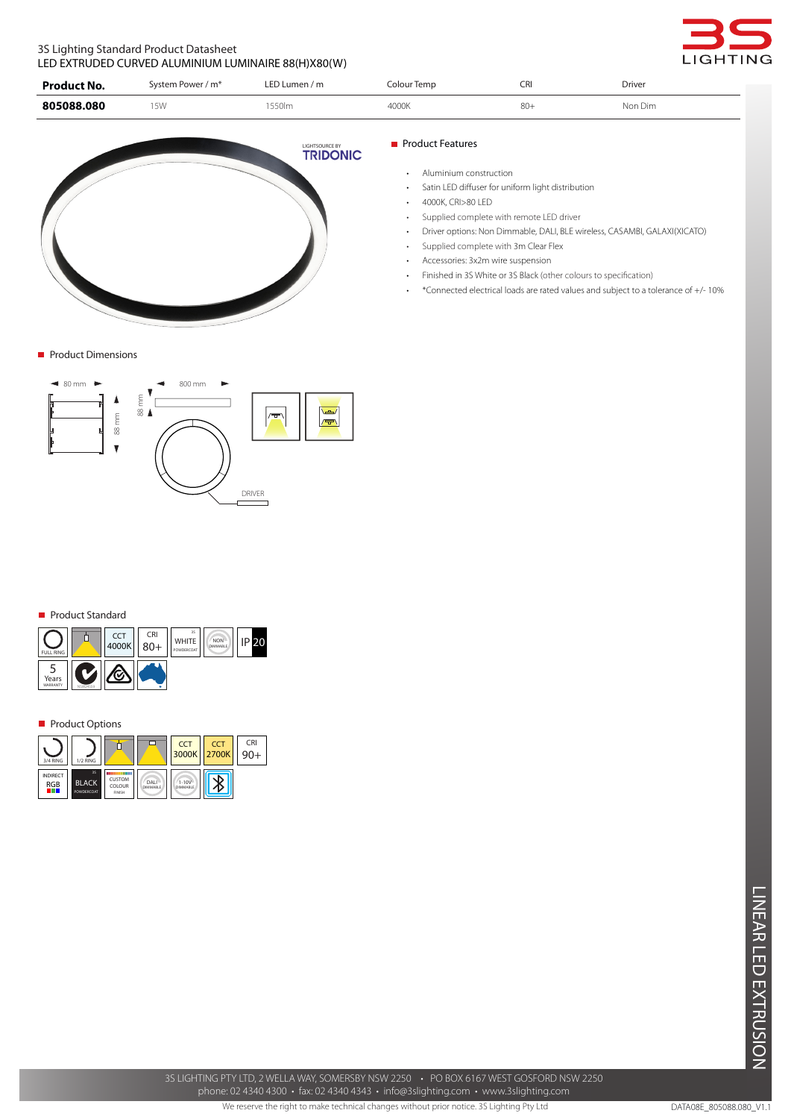## 3S Lighting Standard Product Datasheet LED EXTRUDED CURVED ALUMINIUM LUMINAIRE 88(H)X80(W)



| <b>Product No.</b> | System Power / m <sup>*</sup> | LED Lumen / $m$ | Colour Temp | CRI    | <b>Driver</b> |
|--------------------|-------------------------------|-----------------|-------------|--------|---------------|
| 805088.080         | <b>5W</b>                     | `550lm          | 4000K       | $80 +$ | Non Dim       |



**Product Dimensions** 



#### Product Standard

| <b>FULL RING</b>  |          | <b>CCT</b><br>4000K | <b>CRI</b><br>$80+$ | 3S<br><b>WHITE</b><br>POWDERCOAT | <b>NON</b><br><b>DIMMABLE</b> |  |
|-------------------|----------|---------------------|---------------------|----------------------------------|-------------------------------|--|
| Years<br>WARRANTY | NSW24559 |                     |                     |                                  |                               |  |

#### **Product Options**

| 3/4 RING                            | 1/2 RING                         |                                  |                         | CCT<br>3000K 2700K           | <b>CCT</b> | CRI |
|-------------------------------------|----------------------------------|----------------------------------|-------------------------|------------------------------|------------|-----|
| <b>INDIRECT</b><br><b>RGB</b><br>un | 3S<br><b>BLACK</b><br>POWDERCOAT | 日本<br>CUSTOM<br>COLOUR<br>FINISH | DALI<br><b>DIMMABLE</b> | $1 - 10V$<br><b>DIMMABLE</b> |            |     |

### **Product Features**

- • Aluminium construction
- • Satin LED diffuser for uniform light distribution
- 4000K, CRI>80 LED
- • Supplied complete with remote LED driver
- • Driver options: Non Dimmable, DALI, BLE wireless, CASAMBI, GALAXI(XICATO)
- Supplied complete with 3m Clear Flex
- • Accessories: 3x2m wire suspension
- Finished in 3S White or 3S Black (other colours to specification)
- • \*Connected electrical loads are rated values and subject to a tolerance of +/- 10%

3S LIGHTING PTY LTD, 2 WELLA WAY, SOMERSBY NSW 2250 • PO BOX 6167 WEST GOSFORD NSW 2250 phone: 02 4340 4300 • fax: 02 4340 4343 • info@3slighting.com • www.3slighting.com